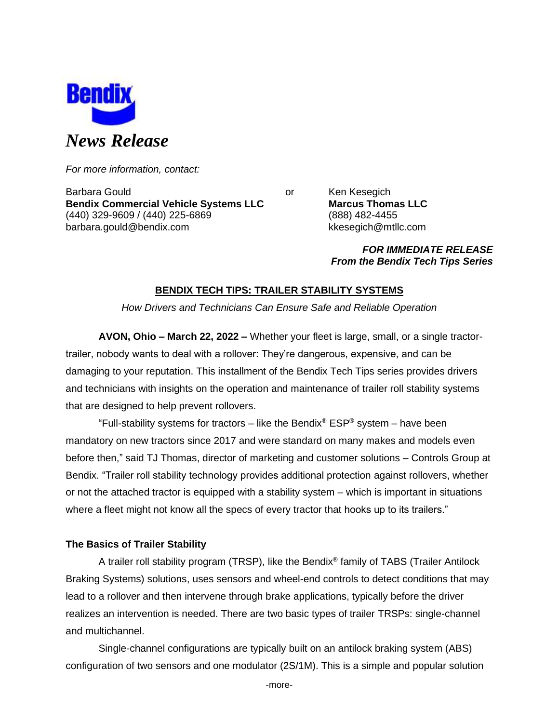

*For more information, contact:*

Barbara Gould **Communist Communist Communist Communist Communist Communist Communist Communist Communist Communist Communist Communist Communist Communist Communist Communist Communist Communist Communist Communist Communi Bendix Commercial Vehicle Systems LLC Marcus Thomas LLC** (440) 329-9609 / (440) 225-6869 (888) 482-4455 barbara.gould@bendix.com kkesegich@mtllc.com

*FOR IMMEDIATE RELEASE From the Bendix Tech Tips Series*

# **BENDIX TECH TIPS: TRAILER STABILITY SYSTEMS**

*How Drivers and Technicians Can Ensure Safe and Reliable Operation*

**AVON, Ohio – March 22, 2022 –** Whether your fleet is large, small, or a single tractortrailer, nobody wants to deal with a rollover: They're dangerous, expensive, and can be damaging to your reputation. This installment of the Bendix Tech Tips series provides drivers and technicians with insights on the operation and maintenance of trailer roll stability systems that are designed to help prevent rollovers.

"Full-stability systems for tractors – like the Bendix® ESP® system – have been mandatory on new tractors since 2017 and were standard on many makes and models even before then," said TJ Thomas, director of marketing and customer solutions – Controls Group at Bendix. "Trailer roll stability technology provides additional protection against rollovers, whether or not the attached tractor is equipped with a stability system – which is important in situations where a fleet might not know all the specs of every tractor that hooks up to its trailers."

# **The Basics of Trailer Stability**

A trailer roll stability program (TRSP), like the Bendix® family of TABS (Trailer Antilock Braking Systems) solutions, uses sensors and wheel-end controls to detect conditions that may lead to a rollover and then intervene through brake applications, typically before the driver realizes an intervention is needed. There are two basic types of trailer TRSPs: single-channel and multichannel.

Single-channel configurations are typically built on an antilock braking system (ABS) configuration of two sensors and one modulator (2S/1M). This is a simple and popular solution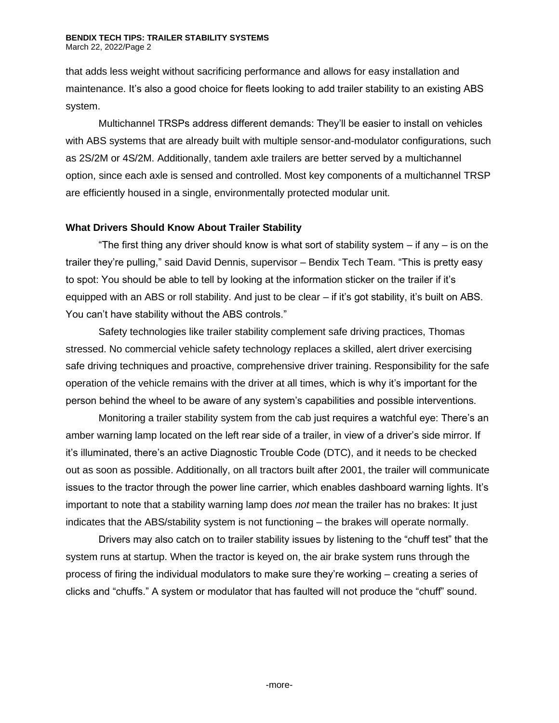### **BENDIX TECH TIPS: TRAILER STABILITY SYSTEMS** March 22, 2022/Page 2

that adds less weight without sacrificing performance and allows for easy installation and maintenance. It's also a good choice for fleets looking to add trailer stability to an existing ABS system.

Multichannel TRSPs address different demands: They'll be easier to install on vehicles with ABS systems that are already built with multiple sensor-and-modulator configurations, such as 2S/2M or 4S/2M. Additionally, tandem axle trailers are better served by a multichannel option, since each axle is sensed and controlled. Most key components of a multichannel TRSP are efficiently housed in a single, environmentally protected modular unit.

## **What Drivers Should Know About Trailer Stability**

"The first thing any driver should know is what sort of stability system  $-$  if any  $-$  is on the trailer they're pulling," said David Dennis, supervisor – Bendix Tech Team. "This is pretty easy to spot: You should be able to tell by looking at the information sticker on the trailer if it's equipped with an ABS or roll stability. And just to be clear – if it's got stability, it's built on ABS. You can't have stability without the ABS controls."

Safety technologies like trailer stability complement safe driving practices, Thomas stressed. No commercial vehicle safety technology replaces a skilled, alert driver exercising safe driving techniques and proactive, comprehensive driver training. Responsibility for the safe operation of the vehicle remains with the driver at all times, which is why it's important for the person behind the wheel to be aware of any system's capabilities and possible interventions.

Monitoring a trailer stability system from the cab just requires a watchful eye: There's an amber warning lamp located on the left rear side of a trailer, in view of a driver's side mirror. If it's illuminated, there's an active Diagnostic Trouble Code (DTC), and it needs to be checked out as soon as possible. Additionally, on all tractors built after 2001, the trailer will communicate issues to the tractor through the power line carrier, which enables dashboard warning lights. It's important to note that a stability warning lamp does *not* mean the trailer has no brakes: It just indicates that the ABS/stability system is not functioning – the brakes will operate normally.

Drivers may also catch on to trailer stability issues by listening to the "chuff test" that the system runs at startup. When the tractor is keyed on, the air brake system runs through the process of firing the individual modulators to make sure they're working – creating a series of clicks and "chuffs." A system or modulator that has faulted will not produce the "chuff" sound.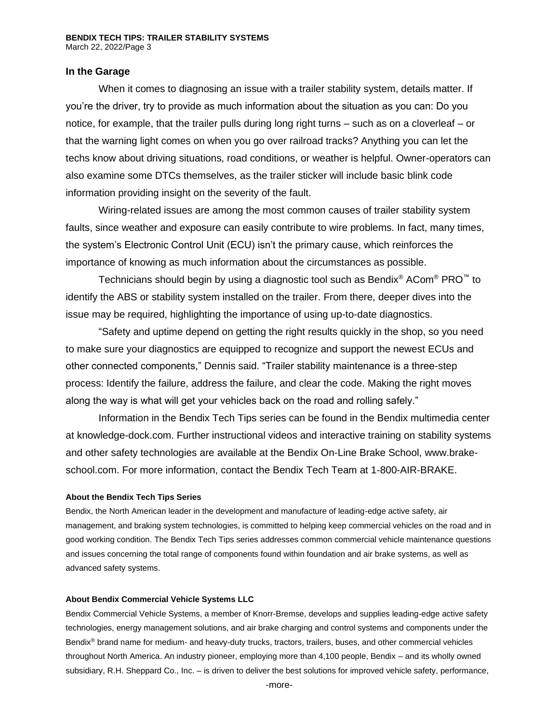## **In the Garage**

When it comes to diagnosing an issue with a trailer stability system, details matter. If you're the driver, try to provide as much information about the situation as you can: Do you notice, for example, that the trailer pulls during long right turns – such as on a cloverleaf – or that the warning light comes on when you go over railroad tracks? Anything you can let the techs know about driving situations, road conditions, or weather is helpful. Owner-operators can also examine some DTCs themselves, as the trailer sticker will include basic blink code information providing insight on the severity of the fault.

Wiring-related issues are among the most common causes of trailer stability system faults, since weather and exposure can easily contribute to wire problems. In fact, many times, the system's Electronic Control Unit (ECU) isn't the primary cause, which reinforces the importance of knowing as much information about the circumstances as possible.

Technicians should begin by using a diagnostic tool such as Bendix® ACom® PRO<sup>™</sup> to identify the ABS or stability system installed on the trailer. From there, deeper dives into the issue may be required, highlighting the importance of using up-to-date diagnostics.

"Safety and uptime depend on getting the right results quickly in the shop, so you need to make sure your diagnostics are equipped to recognize and support the newest ECUs and other connected components," Dennis said. "Trailer stability maintenance is a three-step process: Identify the failure, address the failure, and clear the code. Making the right moves along the way is what will get your vehicles back on the road and rolling safely."

Information in the Bendix Tech Tips series can be found in the Bendix multimedia center at knowledge-dock.com. Further instructional videos and interactive training on stability systems and other safety technologies are available at the Bendix On-Line Brake School, [www.brake](http://www.brake-school.com/)[school.com.](http://www.brake-school.com/) For more information, contact the Bendix Tech Team at 1-800-AIR-BRAKE.

### **About the Bendix Tech Tips Series**

Bendix, the North American leader in the development and manufacture of leading-edge active safety, air management, and braking system technologies, is committed to helping keep commercial vehicles on the road and in good working condition. The Bendix Tech Tips series addresses common commercial vehicle maintenance questions and issues concerning the total range of components found within foundation and air brake systems, as well as advanced safety systems.

#### **About Bendix Commercial Vehicle Systems LLC**

Bendix Commercial Vehicle Systems, a member of Knorr-Bremse, develops and supplies leading-edge active safety technologies, energy management solutions, and air brake charging and control systems and components under the Bendix® brand name for medium- and heavy-duty trucks, tractors, trailers, buses, and other commercial vehicles throughout North America. An industry pioneer, employing more than 4,100 people, Bendix – and its wholly owned subsidiary, R.H. Sheppard Co., Inc. – is driven to deliver the best solutions for improved vehicle safety, performance,